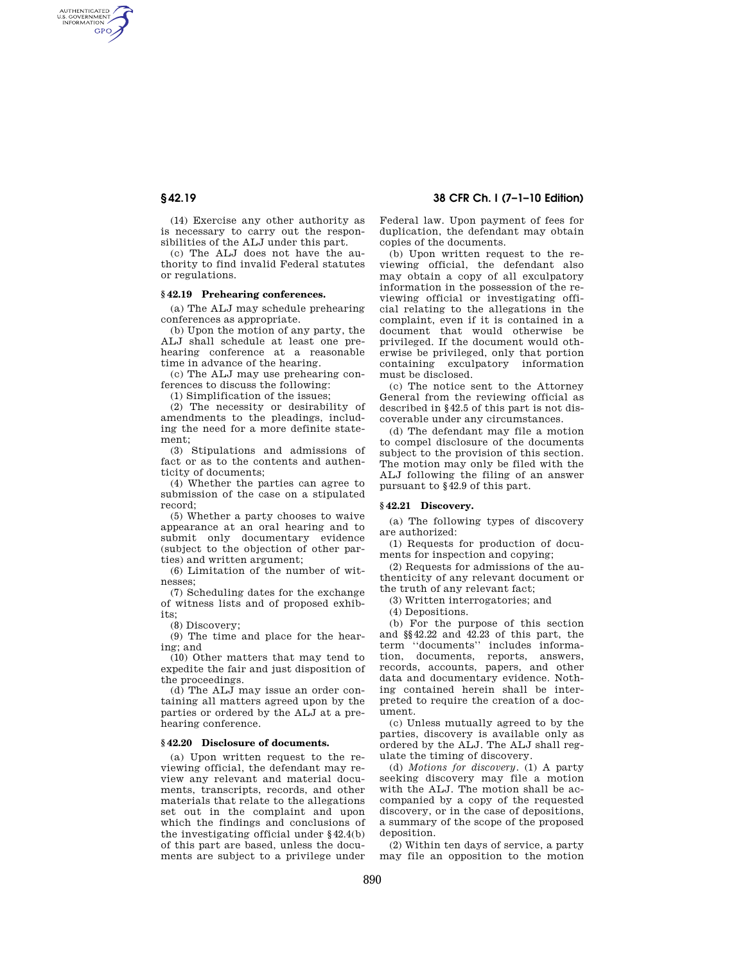AUTHENTICATED<br>U.S. GOVERNMENT<br>INFORMATION **GPO** 

> (14) Exercise any other authority as is necessary to carry out the responsibilities of the ALJ under this part.

> (c) The ALJ does not have the authority to find invalid Federal statutes or regulations.

# **§ 42.19 Prehearing conferences.**

(a) The ALJ may schedule prehearing conferences as appropriate.

(b) Upon the motion of any party, the ALJ shall schedule at least one prehearing conference at a reasonable time in advance of the hearing.

(c) The ALJ may use prehearing conferences to discuss the following:

(1) Simplification of the issues;

(2) The necessity or desirability of amendments to the pleadings, including the need for a more definite statement;

(3) Stipulations and admissions of fact or as to the contents and authenticity of documents;

(4) Whether the parties can agree to submission of the case on a stipulated record;

(5) Whether a party chooses to waive appearance at an oral hearing and to submit only documentary evidence (subject to the objection of other parties) and written argument;

(6) Limitation of the number of witnesses;

(7) Scheduling dates for the exchange of witness lists and of proposed exhibits;

(8) Discovery;

(9) The time and place for the hearing; and

(10) Other matters that may tend to expedite the fair and just disposition of the proceedings.

(d) The ALJ may issue an order containing all matters agreed upon by the parties or ordered by the ALJ at a prehearing conference.

## **§ 42.20 Disclosure of documents.**

(a) Upon written request to the reviewing official, the defendant may review any relevant and material documents, transcripts, records, and other materials that relate to the allegations set out in the complaint and upon which the findings and conclusions of the investigating official under §42.4(b) of this part are based, unless the documents are subject to a privilege under

# **§ 42.19 38 CFR Ch. I (7–1–10 Edition)**

Federal law. Upon payment of fees for duplication, the defendant may obtain copies of the documents.

(b) Upon written request to the reviewing official, the defendant also may obtain a copy of all exculpatory information in the possession of the reviewing official or investigating official relating to the allegations in the complaint, even if it is contained in a document that would otherwise be privileged. If the document would otherwise be privileged, only that portion containing exculpatory information must be disclosed.

(c) The notice sent to the Attorney General from the reviewing official as described in §42.5 of this part is not discoverable under any circumstances.

(d) The defendant may file a motion to compel disclosure of the documents subject to the provision of this section. The motion may only be filed with the ALJ following the filing of an answer pursuant to §42.9 of this part.

### **§ 42.21 Discovery.**

(a) The following types of discovery are authorized:

(1) Requests for production of documents for inspection and copying;

(2) Requests for admissions of the authenticity of any relevant document or the truth of any relevant fact;

(3) Written interrogatories; and

(4) Depositions.

(b) For the purpose of this section and §§42.22 and 42.23 of this part, the term ''documents'' includes information, documents, reports, answers, records, accounts, papers, and other data and documentary evidence. Nothing contained herein shall be interpreted to require the creation of a document.

(c) Unless mutually agreed to by the parties, discovery is available only as ordered by the ALJ. The ALJ shall regulate the timing of discovery.

(d) *Motions for discovery.* (1) A party seeking discovery may file a motion with the ALJ. The motion shall be accompanied by a copy of the requested discovery, or in the case of depositions, a summary of the scope of the proposed deposition.

(2) Within ten days of service, a party may file an opposition to the motion